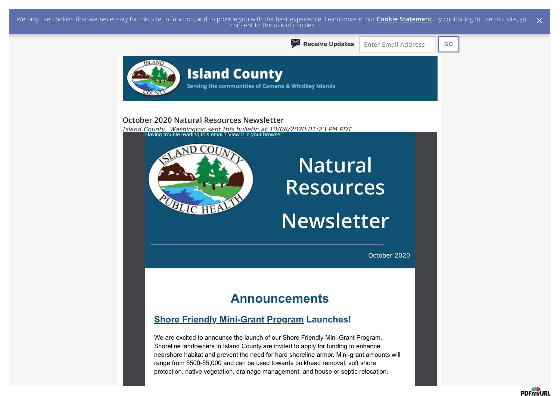We only use cookies that are necessary for this site to function, and to provide you with the best experience. Learn more in our <mark>Cookie [Statement](https://subscriberhelp.granicus.com/s/article/Cookies)</mark>. By continuing to use this site, you  $\,\,\times\,$  consent to the use of cookie



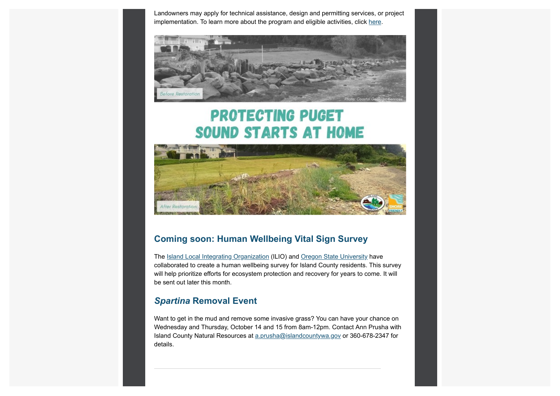Landowners may apply for technical assistance, design and permitting services, or project implementation. To learn more about the program and eligible activities, click [here](https://www.islandcountywa.gov/Health/DNR/Shore-Friendly/Pages/Home.aspx?utm_content=&utm_medium=email&utm_name=&utm_source=govdelivery&utm_term=).



# **PROTECTING PUGET SOUND STARTS AT HOME**



### **Coming soon: Human Wellbeing Vital Sign Survey**

The [Island Local Integrating Organization](https://www.islandcountywa.gov/Health/DNR/ILIO/Pages/Home.aspx?utm_content=&utm_medium=email&utm_name=&utm_source=govdelivery&utm_term=) (ILIO) and [Oregon State University](https://oregonstate.edu/?utm_content=&utm_medium=email&utm_name=&utm_source=govdelivery&utm_term=) have collaborated to create a human wellbeing survey for Island County residents. This survey will help prioritize efforts for ecosystem protection and recovery for years to come. It will be sent out later this month.

### *Spartina* **Removal Event**

Want to get in the mud and remove some invasive grass? You can have your chance on Wednesday and Thursday, October 14 and 15 from 8am-12pm. Contact Ann Prusha with Island County Natural Resources at a prusha@islandcountywa.gov or 360-678-2347 for details.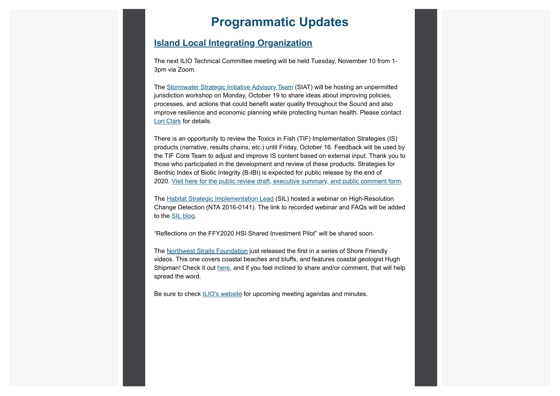### **Programmatic Updates**

### **[Island Local Integrating Organization](https://www.islandcountywa.gov/Health/DNR/ILIO/Pages/Home.aspx?utm_content=&utm_medium=email&utm_name=&utm_source=govdelivery&utm_term=)**

The next ILIO Technical Committee meeting will be held Tuesday, November 10 from 1- 3pm via Zoom.

The [Stormwater Strategic Initiative Advisory Team](https://www.psp.wa.gov/strategic-initiatives-leads.php?utm_content=&utm_medium=email&utm_name=&utm_source=govdelivery&utm_term=) (SIAT) will be hosting an unpermitted jurisdiction workshop on Monday, October 19 to share ideas about improving policies, processes, and actions that could benefit water quality throughout the Sound and also improve resilience and economic planning while protecting human health. Please contact [Lori Clark](mailto:l.clark@islandcountywa.gov) for details.

There is an opportunity to review the Toxics in Fish (TIF) Implementation Strategies (IS) products (narrative, results chains, etc.) until Friday, October 16. Feedback will be used by the TIF Core Team to adjust and improve IS content based on external input. Thank you to those who participated in the development and review of these products. Strategies for Benthic Index of Biotic Integrity (B-IBI) is expected for public release by the end of 2020. [Visit here for the public review draft, executive summary, and public comment form.](https://pspwa.app.box.com/s/q1rueyrajn7kgp7gfkal65k0h87cwcpx?utm_content=&utm_medium=email&utm_name=&utm_source=govdelivery&utm_term=)

The [Habitat Strategic Implementation Lead](https://www.psp.wa.gov/strategic-initiatives-leads.php?utm_content=&utm_medium=email&utm_name=&utm_source=govdelivery&utm_term=) (SIL) hosted a webinar on High-Resolution Change Detection (NTA 2016-0141). The link to recorded webinar and FAQs will be added to the **SIL** blog.

"Reflections on the FFY2020 HSI Shared Investment Pilot" will be shared soon.

The [Northwest Straits Foundation](https://nwstraitsfoundation.org/?utm_content=&utm_medium=email&utm_name=&utm_source=govdelivery&utm_term=) just released the first in a series of Shore Friendly videos. This one covers coastal beaches and bluffs, and features coastal geologist Hugh Shipman! Check it out [here,](https://www.youtube.com/watch?t=2s&utm_content=&utm_medium=email&utm_name=&utm_source=govdelivery&utm_term=&v=CB4AkTZhJnU) and if you feel inclined to share and/or comment, that will help spread the word.

Be sure to check [ILIO's website](https://www.islandcountywa.gov/Health/DNR/ILIO/Pages/ILIO-Agendas--Minutes.aspx?utm_content=&utm_medium=email&utm_name=&utm_source=govdelivery&utm_term=) for upcoming meeting agendas and minutes.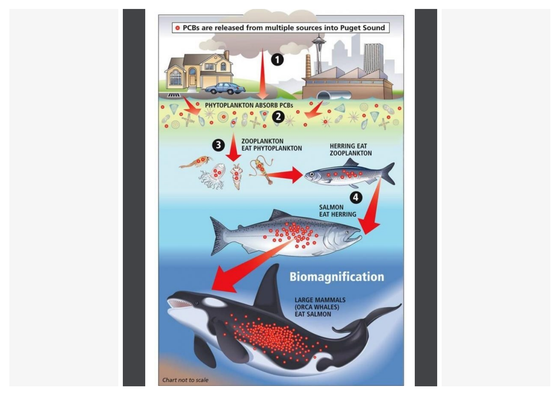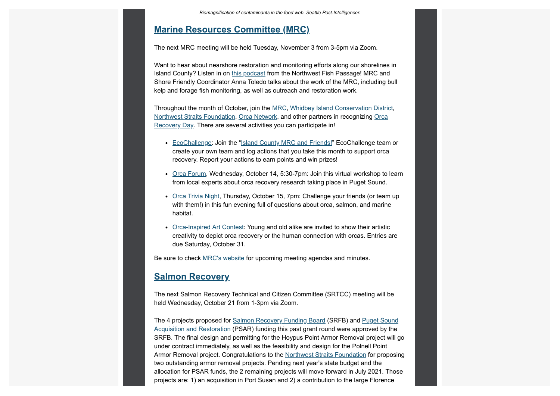#### **[Marine Resources Committee \(MRC\)](https://www.islandcountymrc.org/?utm_content=&utm_medium=email&utm_name=&utm_source=govdelivery&utm_term=)**

The next MRC meeting will be held Tuesday, November 3 from 3-5pm via Zoom.

Want to hear about nearshore restoration and monitoring efforts along our shorelines in Island County? Listen in on [this podcast](https://nwfishpassage.libsyn.com/?utm_content=&utm_medium=email&utm_name=&utm_source=govdelivery&utm_term=) from the Northwest Fish Passage! MRC and Shore Friendly Coordinator Anna Toledo talks about the work of the MRC, including bull kelp and forage fish monitoring, as well as outreach and restoration work.

Throughout the month of October, join the [MRC,](https://www.islandcountymrc.org/?utm_content=&utm_medium=email&utm_name=&utm_source=govdelivery&utm_term=) [Whidbey Island Conservation District,](https://www.whidbeycd.org/?utm_content=&utm_medium=email&utm_name=&utm_source=govdelivery&utm_term=) [Northwest Straits Foundation](https://nwstraitsfoundation.org/?utm_content=&utm_medium=email&utm_name=&utm_source=govdelivery&utm_term=)[, O](https://www.whidbeycd.org/orca.html?utm_content=&utm_medium=email&utm_name=&utm_source=govdelivery&utm_term=)[rca Networ](https://www.orcanetwork.org/Main/?utm_content=&utm_medium=email&utm_name=&utm_source=govdelivery&utm_term=)[k, and other partners in recognizing Orca](https://www.whidbeycd.org/orca.html?utm_content=&utm_medium=email&utm_name=&utm_source=govdelivery&utm_term=) Recovery Day. There are several activities you can participate in!

- [EcoChallenge](https://orcarecoveryday.ecochallenge.org/?utm_content=&utm_medium=email&utm_name=&utm_source=govdelivery&utm_term=): Join the ["Island County MRC and Friends!](https://orcarecoveryday.ecochallenge.org/participants/join?referral_code=b53e238f-3888-4d5c-8bcc-535e848d0ab5&team_invitation=true&utm_content=&utm_medium=email&utm_name=&utm_source=govdelivery&utm_term=)" EcoChallenge team or create your own team and log actions that you take this month to support orca recovery. Report your actions to earn points and win prizes!
- [Orca Forum,](https://www.whidbeycd.org/orca.html?utm_content=&utm_medium=email&utm_name=&utm_source=govdelivery&utm_term=) Wednesday, October 14, 5:30-7pm: Join this virtual workshop to learn from local experts about orca recovery research taking place in Puget Sound.
- [Orca Trivia Night,](https://www.whidbeycd.org/uploads/1/1/6/8/11683986/ord_trivia_night.pdf?utm_content=&utm_medium=email&utm_name=&utm_source=govdelivery&utm_term=) Thursday, October 15, 7pm: Challenge your friends (or team up with them!) in this fun evening full of questions about orca, salmon, and marine habitat.
- [Orca-Inspired Art Contest](https://www.whidbeycd.org/uploads/1/1/6/8/11683986/orca_days_contest_rules_pdf.pdf?utm_content=&utm_medium=email&utm_name=&utm_source=govdelivery&utm_term=): Young and old alike are invited to show their artistic creativity to depict orca recovery or the human connection with orcas. Entries are due Saturday, October 31.

Be sure to check [MRC's website](https://www.islandcountymrc.org/meetings-events/?utm_content=&utm_medium=email&utm_name=&utm_source=govdelivery&utm_term=) for upcoming meeting agendas and minutes.

### **[Salmon Recovery](https://www.islandcountywa.gov/Health/DNR/Salmon/Pages/Home.aspx?utm_content=&utm_medium=email&utm_name=&utm_source=govdelivery&utm_term=)**

The next Salmon Recovery Technical and Citizen Committee (SRTCC) meeting will be held Wednesday, October 21 from 1-3pm via Zoom.

[The 4 projects proposed for Salmon Recovery Funding Board \(SRFB\) and Puget Sound](https://www.psp.wa.gov/PSAR.php?utm_content=&utm_medium=email&utm_name=&utm_source=govdelivery&utm_term=) Acquisition and Restoration (PSAR) funding this past grant round were approved by the SRFB. The final design and permitting for the Hoypus Point Armor Removal project will go under contract immediately, as well as the feasibility and design for the Polnell Point Armor Removal project. Congratulations to the [Northwest Straits Foundation](https://nwstraitsfoundation.org/?utm_content=&utm_medium=email&utm_name=&utm_source=govdelivery&utm_term=) for proposing two outstanding armor removal projects. Pending next year's state budget and the allocation for PSAR funds, the 2 remaining projects will move forward in July 2021. Those projects are: 1) an acquisition in Port Susan and 2) a contribution to the large Florence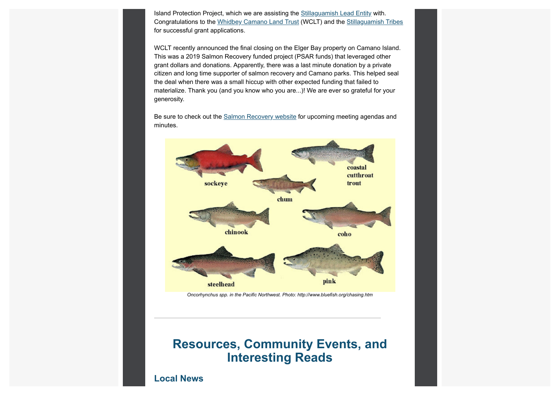Island Protection Project, which we are assisting the [Stillaguamish Lead Entity](https://actionagenda.pugetsoundinfo.wa.gov/GeospatialArea/Detail/7659?utm_content=&utm_medium=email&utm_name=&utm_source=govdelivery&utm_term=) with. Congratulations to the [Whidbey Camano Land Trust](https://www.wclt.org/?utm_content=&utm_medium=email&utm_name=&utm_source=govdelivery&utm_term=) (WCLT) and the [Stillaguamish Tribes](https://www.stillaguamish.com/?utm_content=&utm_medium=email&utm_name=&utm_source=govdelivery&utm_term=) for successful grant applications.

WCLT recently announced the final closing on the Elger Bay property on Camano Island. This was a 2019 Salmon Recovery funded project (PSAR funds) that leveraged other grant dollars and donations. Apparently, there was a last minute donation by a private citizen and long time supporter of salmon recovery and Camano parks. This helped seal the deal when there was a small hiccup with other expected funding that failed to materialize. Thank you (and you know who you are...)! We are ever so grateful for your generosity.

Be sure to check out the [Salmon Recovery website](https://www.islandcountywa.gov/Health/DNR/Salmon/Pages/SRTCC-Meeting-Notes.aspx?utm_content=&utm_medium=email&utm_name=&utm_source=govdelivery&utm_term=) for upcoming meeting agendas and minutes.





### **Resources, Community Events, and Interesting Reads**

**Local News**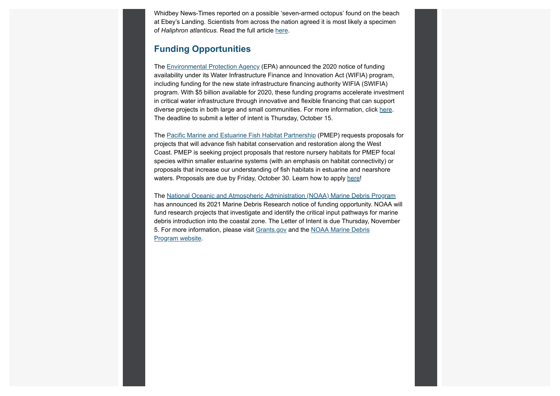Whidbey News-Times reported on a possible 'seven-armed octopus' found on the beach at Ebey's Landing. Scientists from across the nation agreed it is most likely a specimen of *Haliphron atlanticus.* Read the full article [here.](https://www.whidbeynewstimes.com/life/possible-seven-armed-octopus-found-on-beach-at-ebeys-landing/%C2%A0?utm_content=&utm_medium=email&utm_name=&utm_source=govdelivery&utm_term=)

### **Funding Opportunities**

The [Environmental Protection Agency](https://lnks.gd/l/eyJhbGciOiJIUzI1NiJ9.eyJidWxsZXRpbl9saW5rX2lkIjoxMTksInVyaSI6ImJwMjpjbGljayIsImJ1bGxldGluX2lkIjoiMjAyMDA5MDguMjY3NjU0NDEiLCJ1cmwiOiJodHRwczovL2xua3MuZ2QvbC9leUpoYkdjaU9pSklVekkxTmlKOS5leUppZFd4c1pYUnBibDlzYVc1clgybGtJam94TWpJc0luVnlhU0k2SW1Kd01qcGpiR2xqYXlJc0ltSjFiR3hsZEdsdVgybGtJam9pTWpBeU1EQTRNVFF1TWpVMk9ERTNOREVpTENKMWNtd2lPaUpvZEhSd2N6b3ZMM2QzZHk1bGNHRXVaMjkyTHo5MWRHMWZZMjl1ZEdWdWREMG1kWFJ0WDIxbFpHbDFiVDFsYldGcGJDWjFkRzFmYm1GdFpUMG1kWFJ0WDNOdmRYSmpaVDFuYjNaa1pXeHBkbVZ5ZVNaMWRHMWZkR1Z5YlQwaWZRLnJ1V1JFZ2wzdUU3bDIzMDd2Y1dtc29uMkt3QTVadlBmLW1EVFdyYUFoWkkvcy8xMTE5MjY0Mzg3L2JyLzgyMzcyODA5OTY0LWw_dXRtX2NvbnRlbnQ9JnV0bV9tZWRpdW09ZW1haWwmdXRtX25hbWU9JnV0bV9zb3VyY2U9Z292ZGVsaXZlcnkmdXRtX3Rlcm09In0.svKOsoBuH1epxasqqhGPDk3Ryw-bLZzIfBv0NgGJd-s/s/1119264387/br/83347707302-l?utm_content=&utm_medium=email&utm_name=&utm_source=govdelivery&utm_term=) (EPA) announced the 2020 notice of funding availability under its Water Infrastructure Finance and Innovation Act (WIFIA) program, including funding for the new state infrastructure financing authority WIFIA (SWIFIA) program. With \$5 billion available for 2020, these funding programs accelerate investment in critical water infrastructure through innovative and flexible financing that can support diverse projects in both large and small communities. For more information, click [here](https://lnks.gd/l/eyJhbGciOiJIUzI1NiJ9.eyJidWxsZXRpbl9saW5rX2lkIjoxMjAsInVyaSI6ImJwMjpjbGljayIsImJ1bGxldGluX2lkIjoiMjAyMDA5MDguMjY3NjU0NDEiLCJ1cmwiOiJodHRwczovL2xua3MuZ2QvbC9leUpoYkdjaU9pSklVekkxTmlKOS5leUppZFd4c1pYUnBibDlzYVc1clgybGtJam94TWpNc0luVnlhU0k2SW1Kd01qcGpiR2xqYXlJc0ltSjFiR3hsZEdsdVgybGtJam9pTWpBeU1EQTRNVFF1TWpVMk9ERTNOREVpTENKMWNtd2lPaUpvZEhSd2N6b3ZMM2QzZHk1bGNHRXVaMjkyTDNkcFptbGhQM1YwYlY5amIyNTBaVzUwUFNaMWRHMWZiV1ZrYVhWdFBXVnRZV2xzSm5WMGJWOXVZVzFsUFNaMWRHMWZjMjkxY21ObFBXZHZkbVJsYkdsMlpYSjVKblYwYlY5MFpYSnRQU0o5Lm1WREd0bU1FSUpHOHVYdnptaHNrNDZxckY3NDI2eUZvN28wRTdDd2tJc3cvcy8xMTE5MjY0Mzg3L2JyLzgyMzcyODA5OTY0LWw_dXRtX2NvbnRlbnQ9JnV0bV9tZWRpdW09ZW1haWwmdXRtX25hbWU9JnV0bV9zb3VyY2U9Z292ZGVsaXZlcnkmdXRtX3Rlcm09In0.6ECilXBz5ZUnonwNUqMalUBE6PJiIz5k0xEOOefUAAE/s/1119264387/br/83347707302-l?utm_content=&utm_medium=email&utm_name=&utm_source=govdelivery&utm_term=). The deadline to submit a letter of intent is Thursday, October 15.

The [Pacific Marine and Estuarine Fish Habitat Partnership](https://lnks.gd/l/eyJhbGciOiJIUzI1NiJ9.eyJidWxsZXRpbl9saW5rX2lkIjoxMjEsInVyaSI6ImJwMjpjbGljayIsImJ1bGxldGluX2lkIjoiMjAyMDA5MDguMjY3NjU0NDEiLCJ1cmwiOiJodHRwczovL3d3dy5wYWNpZmljZmlzaGhhYml0YXQub3JnLz91dG1fY29udGVudD0mdXRtX21lZGl1bT1lbWFpbCZ1dG1fbmFtZT0mdXRtX3NvdXJjZT1nb3ZkZWxpdmVyeSZ1dG1fdGVybT0ifQ.A-pozb3Ub2uu_Vrum4ebYH5nGF2WHKGGxUbTI5u8h8k/s/1119264387/br/83347707302-l?utm_content=&utm_medium=email&utm_name=&utm_source=govdelivery&utm_term=) (PMEP) requests proposals for projects that will advance fish habitat conservation and restoration along the West Coast. PMEP is seeking project proposals that restore nursery habitats for PMEP focal species within smaller estuarine systems (with an emphasis on habitat connectivity) or proposals that increase our understanding of fish habitats in estuarine and nearshore waters. Proposals are due by Friday, October 30. Learn how to apply [here](https://lnks.gd/l/eyJhbGciOiJIUzI1NiJ9.eyJidWxsZXRpbl9saW5rX2lkIjoxMjIsInVyaSI6ImJwMjpjbGljayIsImJ1bGxldGluX2lkIjoiMjAyMDA5MDguMjY3NjU0NDEiLCJ1cmwiOiJodHRwOi8vd3d3LnBhY2lmaWNmaXNoaGFiaXRhdC5vcmcvZnVuZGluZy1vcHBvcnR1bml0aWVzLz91dG1fY29udGVudD0mdXRtX21lZGl1bT1lbWFpbCZ1dG1fbmFtZT0mdXRtX3NvdXJjZT1nb3ZkZWxpdmVyeSZ1dG1fdGVybT0ifQ.RRAHl3-FtybL7MkTEnsooPVwdr6U-AjrTp7j9U2T_xs/s/1119264387/br/83347707302-l?utm_content=&utm_medium=email&utm_name=&utm_source=govdelivery&utm_term=)!

The [National Oceanic and Atmospheric Administration \(NOAA\) Marine Debris Program](https://marinedebris.noaa.gov/?utm_content=&utm_medium=email&utm_name=&utm_source=govdelivery&utm_term=) has announced its 2021 Marine Debris Research notice of funding opportunity. NOAA will fund research projects that investigate and identify the critical input pathways for marine debris introduction into the coastal zone. The Letter of Intent is due Thursday, November [5. For more information, please visit G](https://marinedebris.noaa.gov/funding/funding-opportunities?utm_content=&utm_medium=email&utm_name=&utm_source=govdelivery&utm_term=)[rants.gov](https://www.grants.gov/web/grants/view-opportunity.html?oppId=329047&utm_content=&utm_medium=email&utm_name=&utm_source=govdelivery&utm_term=) [and the NOAA Marine Debris](https://marinedebris.noaa.gov/funding/funding-opportunities?utm_content=&utm_medium=email&utm_name=&utm_source=govdelivery&utm_term=) Program website.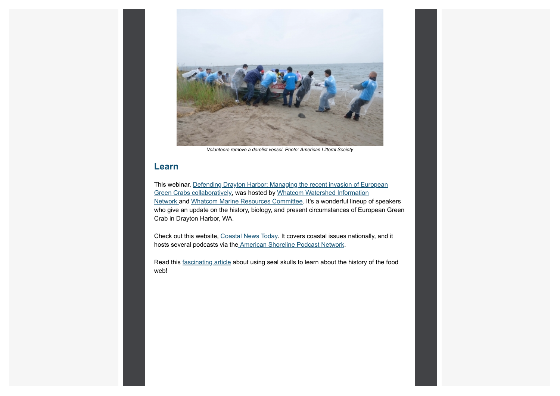

*[Volunteers](https://marinedebris.noaa.gov/funding/funding-opportunities?utm_content=&utm_medium=email&utm_name=&utm_source=govdelivery&utm_term=) remove a derelict vessel. Photo: American Littoral Society*

### **Learn**

[This webinar, Defending Drayton Harbor: Managing the recent invasion of European](https://www.youtube.com/watch?utm_content=&utm_medium=email&utm_name=&utm_source=govdelivery&utm_term=&v=_-YXDMBPe9c) [Green Crabs collaboratively, was hosted by Whatcom Watershed Information](https://www.whatcomwin.org/?utm_content=&utm_medium=email&utm_name=&utm_source=govdelivery&utm_term=) Network and [Whatcom Marine Resources Committee.](https://www.whatcomcountymrc.org/?utm_content=&utm_medium=email&utm_name=&utm_source=govdelivery&utm_term=) It's a wonderful lineup of speakers who give an update on the history, biology, and present circumstances of European Green Crab in Drayton Harbor, WA.

Check out this website, [Coastal News Today.](https://www.coastalnewstoday.com/?utm_content=&utm_medium=email&utm_name=&utm_source=govdelivery&utm_term=) It covers coastal issues nationally, and it hosts several podcasts via th[e American Shoreline Podcast Network.](https://podcasts.apple.com/us/podcast/american-shoreline-podcast-network/id1434886389?utm_content=&utm_medium=email&utm_name=&utm_source=govdelivery&utm_term=)

Read this [fascinating article](https://www.eopugetsound.org/magazine/IS/harbor-seal-skulls?utm_content=&utm_medium=email&utm_name=&utm_source=govdelivery&utm_term=) about using seal skulls to learn about the history of the food web!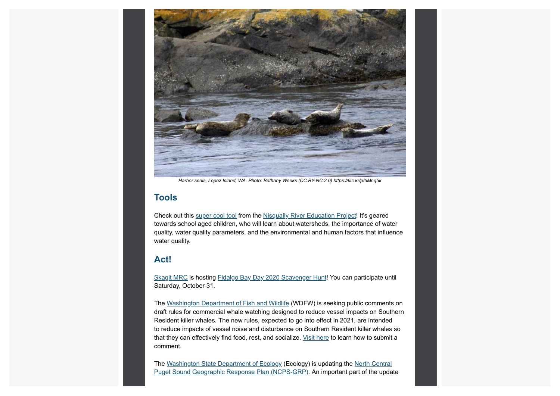

*Harbor seals, Lopez Island, WA. Photo: Bethany Weeks (CC BY-NC 2.0) [https://flic.kr/p/6Mnq5k](https://www.eopugetsound.org/magazine/IS/harbor-seal-skulls?utm_content=&utm_medium=email&utm_name=&utm_source=govdelivery&utm_term=)*

### **Tools**

Check out this [super cool tool](https://www.arcgis.com/apps/MapSeries/index.html?appid=cfe64a8080284a06b8ada0cc4d927488&utm_content=&utm_medium=email&utm_name=&utm_source=govdelivery&utm_term=) from the [Nisqually River Education Project](http://nrep.nisquallyriver.org/?utm_content=&utm_medium=email&utm_name=&utm_source=govdelivery&utm_term=)! It's geared towards school aged children, who will learn about watersheds, the importance of water quality, water quality parameters, and the environmental and human factors that influence water quality.

#### **Act!**

[Skagit MRC](http://www.skagitmrc.org/?utm_content=&utm_medium=email&utm_name=&utm_source=govdelivery&utm_term=) is hosting [Fidalgo Bay Day 2020 Scavenger Hunt!](https://www.fidalgobayday.com/?utm_content=&utm_medium=email&utm_name=&utm_source=govdelivery&utm_term=) You can participate until Saturday, October 31.

The [Washington Department of Fish and Wildlife](https://wdfw.wa.gov/?utm_content=&utm_medium=email&utm_name=&utm_source=govdelivery&utm_term=) (WDFW) is seeking public comments on draft rules for commercial whale watching designed to reduce vessel impacts on Southern Resident killer whales. The new rules, expected to go into effect in 2021, are intended to reduce impacts of vessel noise and disturbance on Southern Resident killer whales so that they can effectively find food, rest, and socialize. [Visit here](https://wdfw.wa.gov/species-habitats/at-risk/species-recovery/orca/rule-making?utm_content=&utm_medium=email&utm_name=&utm_source=govdelivery&utm_term=) to learn how to submit a comment.

[The W](https://fortress.wa.gov/ecy/ezshare/sppr/Preparedness/NCPS-GRP/NCPS_PublicReviewCoverPage.pdf?utm_content=&utm_medium=email&utm_name=&utm_source=govdelivery&utm_term=)[ashington State Department of Ecology](https://ecology.wa.gov/?utm_content=&utm_medium=email&utm_name=&utm_source=govdelivery&utm_term=) [\(Ecology\) is updating the North Central](https://fortress.wa.gov/ecy/ezshare/sppr/Preparedness/NCPS-GRP/NCPS_PublicReviewCoverPage.pdf?utm_content=&utm_medium=email&utm_name=&utm_source=govdelivery&utm_term=) Puget Sound Geographic Response Plan (NCPS-GRP). An important part of the update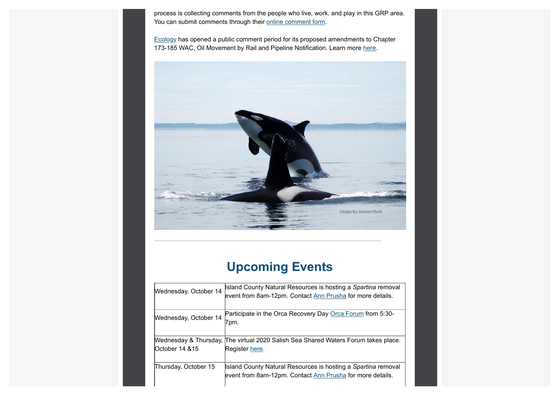process is collecting comments from the people who live, work, and play in this GRP area. You can submit comments through their [online comment form.](http://sppr.ecology.commentinput.com/?id=dDcFp&utm_content=&utm_medium=email&utm_name=&utm_source=govdelivery&utm_term=)

[Ecology](https://ecology.wa.gov/?utm_content=&utm_medium=email&utm_name=&utm_source=govdelivery&utm_term=) has opened a public comment period for its proposed amendments to Chapter 173-185 WAC, Oil Movement by Rail and Pipeline Notification. Learn more [here](https://ecology.wa.gov/Regulations-Permits/Laws-rules-rulemaking/Rulemaking/WAC-173-185?utm_content=&utm_medium=email&utm_name=&utm_source=govdelivery&utm_term=).



## **Upcoming Events**

| Wednesday, October 14 | Island County Natural Resources is hosting a Spartina removal<br>event from 8am-12pm. Contact Ann Prusha for more details. |
|-----------------------|----------------------------------------------------------------------------------------------------------------------------|
| Wednesday, October 14 | Participate in the Orca Recovery Day Orca Forum from 5:30-<br>7pm.                                                         |
| October 14 & 15       | Mednesday & Thursday, The virtual 2020 Salish Sea Shared Waters Forum takes place.<br>Register here.                       |
| Thursday, October 15  | Island County Natural Resources is hosting a Spartina removal<br>event from 8am-12pm. Contact Ann Prusha for more details. |